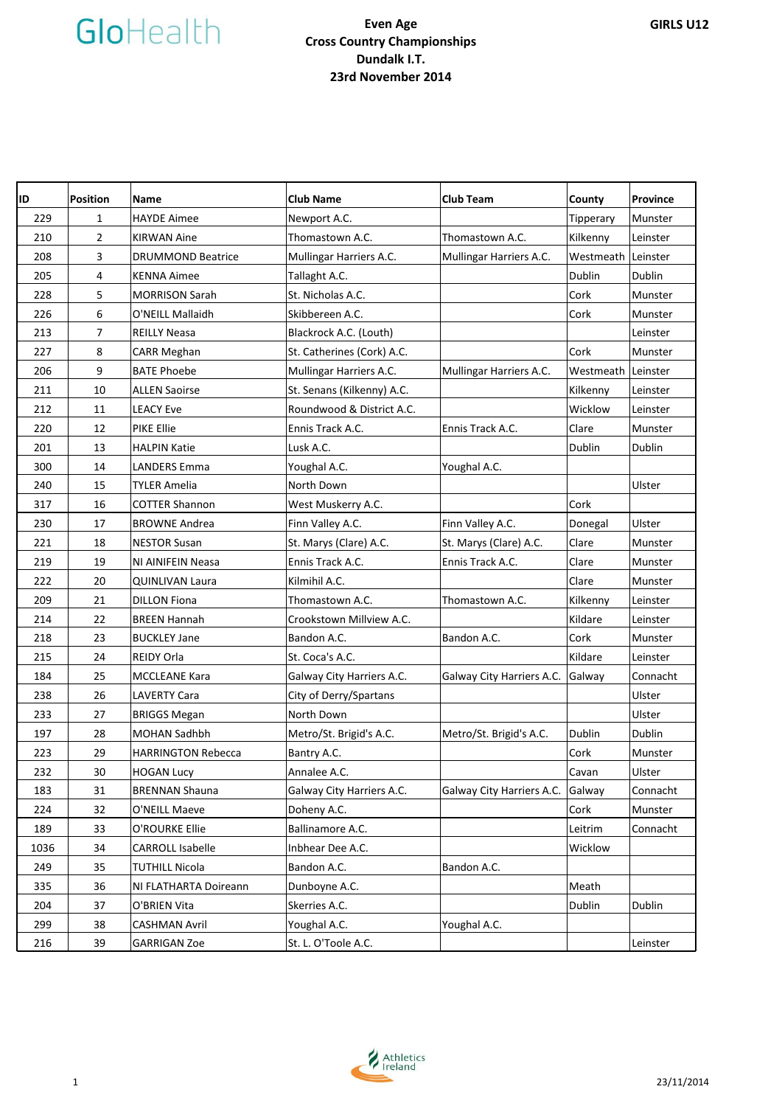| ID   | <b>Position</b> | <b>Name</b>               | <b>Club Name</b>           | <b>Club Team</b>          | County             | Province |
|------|-----------------|---------------------------|----------------------------|---------------------------|--------------------|----------|
| 229  | $\mathbf{1}$    | <b>HAYDE Aimee</b>        | Newport A.C.               |                           | Tipperary          | Munster  |
| 210  | $\overline{2}$  | <b>KIRWAN Aine</b>        | Thomastown A.C.            | Thomastown A.C.           | Kilkenny           | Leinster |
| 208  | 3               | <b>DRUMMOND Beatrice</b>  | Mullingar Harriers A.C.    | Mullingar Harriers A.C.   | Westmeath          | Leinster |
| 205  | 4               | <b>KENNA Aimee</b>        | Tallaght A.C.              |                           | Dublin             | Dublin   |
| 228  | 5               | <b>MORRISON Sarah</b>     | St. Nicholas A.C.          |                           | Cork               | Munster  |
| 226  | 6               | O'NEILL Mallaidh          | Skibbereen A.C.            |                           | Cork               | Munster  |
| 213  | $\overline{7}$  | <b>REILLY Neasa</b>       | Blackrock A.C. (Louth)     |                           |                    | Leinster |
| 227  | 8               | CARR Meghan               | St. Catherines (Cork) A.C. |                           | Cork               | Munster  |
| 206  | 9               | <b>BATE Phoebe</b>        | Mullingar Harriers A.C.    | Mullingar Harriers A.C.   | Westmeath Leinster |          |
| 211  | 10              | <b>ALLEN Saoirse</b>      | St. Senans (Kilkenny) A.C. |                           | Kilkenny           | Leinster |
| 212  | 11              | <b>LEACY Eve</b>          | Roundwood & District A.C.  |                           | Wicklow            | Leinster |
| 220  | 12              | PIKE Ellie                | Ennis Track A.C.           | Ennis Track A.C.          | Clare              | Munster  |
| 201  | 13              | <b>HALPIN Katie</b>       | Lusk A.C.                  |                           | Dublin             | Dublin   |
| 300  | 14              | <b>LANDERS Emma</b>       | Youghal A.C.               | Youghal A.C.              |                    |          |
| 240  | 15              | <b>TYLER Amelia</b>       | North Down                 |                           |                    | Ulster   |
| 317  | 16              | <b>COTTER Shannon</b>     | West Muskerry A.C.         |                           | Cork               |          |
| 230  | 17              | <b>BROWNE Andrea</b>      | Finn Valley A.C.           | Finn Valley A.C.          | Donegal            | Ulster   |
| 221  | 18              | <b>NESTOR Susan</b>       | St. Marys (Clare) A.C.     | St. Marys (Clare) A.C.    | Clare              | Munster  |
| 219  | 19              | NI AINIFEIN Neasa         | Ennis Track A.C.           | Ennis Track A.C.          | Clare              | Munster  |
| 222  | 20              | <b>QUINLIVAN Laura</b>    | Kilmihil A.C.              |                           | Clare              | Munster  |
| 209  | 21              | <b>DILLON Fiona</b>       | Thomastown A.C.            | Thomastown A.C.           | Kilkenny           | Leinster |
| 214  | 22              | <b>BREEN Hannah</b>       | Crookstown Millview A.C.   |                           | Kildare            | Leinster |
| 218  | 23              | <b>BUCKLEY Jane</b>       | Bandon A.C.                | Bandon A.C.               | Cork               | Munster  |
| 215  | 24              | REIDY Orla                | St. Coca's A.C.            |                           | Kildare            | Leinster |
| 184  | 25              | <b>MCCLEANE Kara</b>      | Galway City Harriers A.C.  | Galway City Harriers A.C. | Galway             | Connacht |
| 238  | 26              | <b>LAVERTY Cara</b>       | City of Derry/Spartans     |                           |                    | Ulster   |
| 233  | 27              | <b>BRIGGS Megan</b>       | North Down                 |                           |                    | Ulster   |
| 197  | 28              | MOHAN Sadhbh              | Metro/St. Brigid's A.C.    | Metro/St. Brigid's A.C.   | Dublin             | Dublin   |
| 223  | 29              | <b>HARRINGTON Rebecca</b> | Bantry A.C.                |                           | Cork               | Munster  |
| 232  | 30              | <b>HOGAN Lucy</b>         | Annalee A.C.               |                           | Cavan              | Ulster   |
| 183  | 31              | <b>BRENNAN Shauna</b>     | Galway City Harriers A.C.  | Galway City Harriers A.C. | Galway             | Connacht |
| 224  | 32              | O'NEILL Maeve             | Doheny A.C.                |                           | Cork               | Munster  |
| 189  | 33              | O'ROURKE Ellie            | Ballinamore A.C.           |                           | Leitrim            | Connacht |
| 1036 | 34              | <b>CARROLL Isabelle</b>   | Inbhear Dee A.C.           |                           | Wicklow            |          |
| 249  | 35              | <b>TUTHILL Nicola</b>     | Bandon A.C.                | Bandon A.C.               |                    |          |
| 335  | 36              | NI FLATHARTA Doireann     | Dunboyne A.C.              |                           | Meath              |          |
| 204  | 37              | O'BRIEN Vita              | Skerries A.C.              |                           | Dublin             | Dublin   |
| 299  | 38              | <b>CASHMAN Avril</b>      | Youghal A.C.               | Youghal A.C.              |                    |          |
| 216  | 39              | <b>GARRIGAN Zoe</b>       | St. L. O'Toole A.C.        |                           |                    | Leinster |

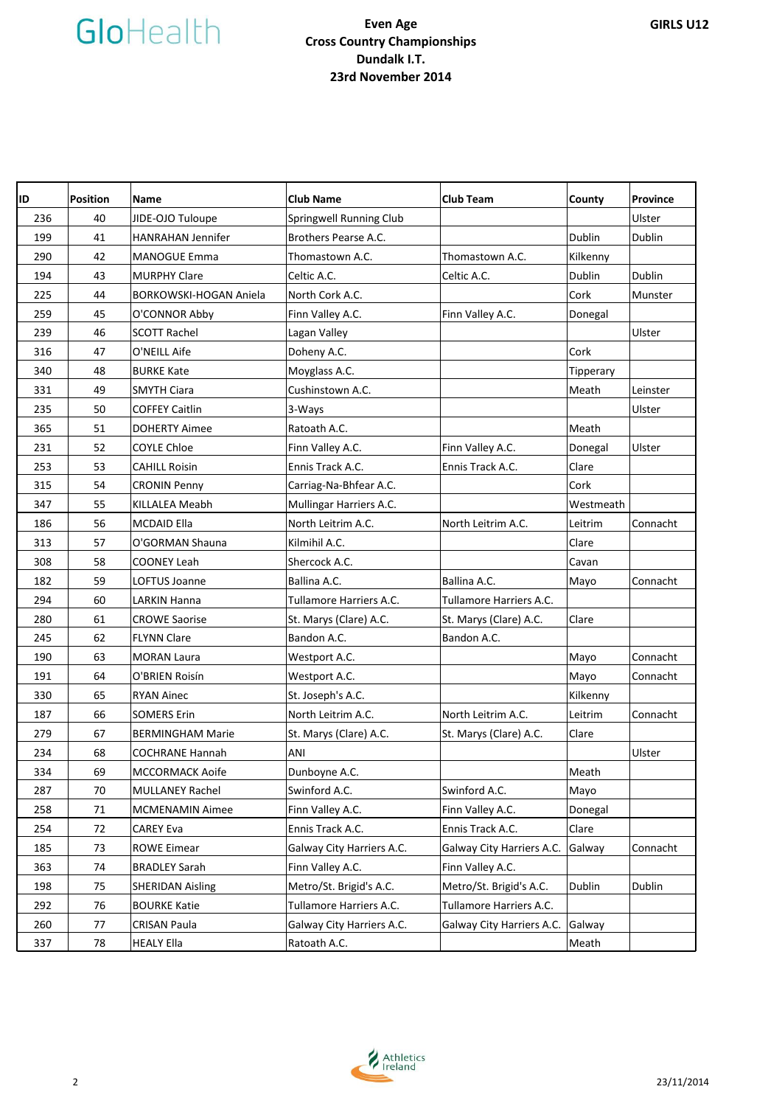| ID  | <b>Position</b> | <b>Name</b>                   | <b>Club Name</b>          | <b>Club Team</b>          | County    | <b>Province</b> |
|-----|-----------------|-------------------------------|---------------------------|---------------------------|-----------|-----------------|
| 236 | 40              | JIDE-OJO Tuloupe              | Springwell Running Club   |                           |           | Ulster          |
| 199 | 41              | <b>HANRAHAN Jennifer</b>      | Brothers Pearse A.C.      |                           | Dublin    | Dublin          |
| 290 | 42              | <b>MANOGUE Emma</b>           | Thomastown A.C.           | Thomastown A.C.           | Kilkenny  |                 |
| 194 | 43              | <b>MURPHY Clare</b>           | Celtic A.C.               | Celtic A.C.               | Dublin    | Dublin          |
| 225 | 44              | <b>BORKOWSKI-HOGAN Aniela</b> | North Cork A.C.           |                           | Cork      | Munster         |
| 259 | 45              | O'CONNOR Abby                 | Finn Valley A.C.          | Finn Valley A.C.          | Donegal   |                 |
| 239 | 46              | <b>SCOTT Rachel</b>           | Lagan Valley              |                           |           | Ulster          |
| 316 | 47              | O'NEILL Aife                  | Doheny A.C.               |                           | Cork      |                 |
| 340 | 48              | <b>BURKE Kate</b>             | Moyglass A.C.             |                           | Tipperary |                 |
| 331 | 49              | <b>SMYTH Ciara</b>            | Cushinstown A.C.          |                           | Meath     | Leinster        |
| 235 | 50              | <b>COFFEY Caitlin</b>         | 3-Ways                    |                           |           | Ulster          |
| 365 | 51              | <b>DOHERTY Aimee</b>          | Ratoath A.C.              |                           | Meath     |                 |
| 231 | 52              | <b>COYLE Chloe</b>            | Finn Valley A.C.          | Finn Valley A.C.          | Donegal   | Ulster          |
| 253 | 53              | <b>CAHILL Roisin</b>          | Ennis Track A.C.          | Ennis Track A.C.          | Clare     |                 |
| 315 | 54              | <b>CRONIN Penny</b>           | Carriag-Na-Bhfear A.C.    |                           | Cork      |                 |
| 347 | 55              | <b>KILLALEA Meabh</b>         | Mullingar Harriers A.C.   |                           | Westmeath |                 |
| 186 | 56              | <b>MCDAID Ella</b>            | North Leitrim A.C.        | North Leitrim A.C.        | Leitrim   | Connacht        |
| 313 | 57              | O'GORMAN Shauna               | Kilmihil A.C.             |                           | Clare     |                 |
| 308 | 58              | <b>COONEY Leah</b>            | Shercock A.C.             |                           | Cavan     |                 |
| 182 | 59              | LOFTUS Joanne                 | Ballina A.C.              | Ballina A.C.              | Mayo      | Connacht        |
| 294 | 60              | LARKIN Hanna                  | Tullamore Harriers A.C.   | Tullamore Harriers A.C.   |           |                 |
| 280 | 61              | <b>CROWE Saorise</b>          | St. Marys (Clare) A.C.    | St. Marys (Clare) A.C.    | Clare     |                 |
| 245 | 62              | <b>FLYNN Clare</b>            | Bandon A.C.               | Bandon A.C.               |           |                 |
| 190 | 63              | <b>MORAN Laura</b>            | Westport A.C.             |                           | Mayo      | Connacht        |
| 191 | 64              | O'BRIEN Roisín                | Westport A.C.             |                           | Mayo      | Connacht        |
| 330 | 65              | <b>RYAN Ainec</b>             | St. Joseph's A.C.         |                           | Kilkenny  |                 |
| 187 | 66              | <b>SOMERS Erin</b>            | North Leitrim A.C.        | North Leitrim A.C.        | Leitrim   | Connacht        |
| 279 | 67              | <b>BERMINGHAM Marie</b>       | St. Marys (Clare) A.C.    | St. Marys (Clare) A.C.    | Clare     |                 |
| 234 | 68              | <b>COCHRANE Hannah</b>        | ANI                       |                           |           | Ulster          |
| 334 | 69              | <b>MCCORMACK Aoife</b>        | Dunboyne A.C.             |                           | Meath     |                 |
| 287 | 70              | <b>MULLANEY Rachel</b>        | Swinford A.C.             | Swinford A.C.             | Mayo      |                 |
| 258 | 71              | <b>MCMENAMIN Aimee</b>        | Finn Valley A.C.          | Finn Valley A.C.          | Donegal   |                 |
| 254 | 72              | <b>CAREY Eva</b>              | Ennis Track A.C.          | Ennis Track A.C.          | Clare     |                 |
| 185 | 73              | <b>ROWE Eimear</b>            | Galway City Harriers A.C. | Galway City Harriers A.C. | Galway    | Connacht        |
| 363 | 74              | <b>BRADLEY Sarah</b>          | Finn Valley A.C.          | Finn Valley A.C.          |           |                 |
| 198 | 75              | <b>SHERIDAN Aisling</b>       | Metro/St. Brigid's A.C.   | Metro/St. Brigid's A.C.   | Dublin    | Dublin          |
| 292 | 76              | <b>BOURKE Katie</b>           | Tullamore Harriers A.C.   | Tullamore Harriers A.C.   |           |                 |
| 260 | 77              | CRISAN Paula                  | Galway City Harriers A.C. | Galway City Harriers A.C. | Galway    |                 |
| 337 | 78              | <b>HEALY Ella</b>             | Ratoath A.C.              |                           | Meath     |                 |

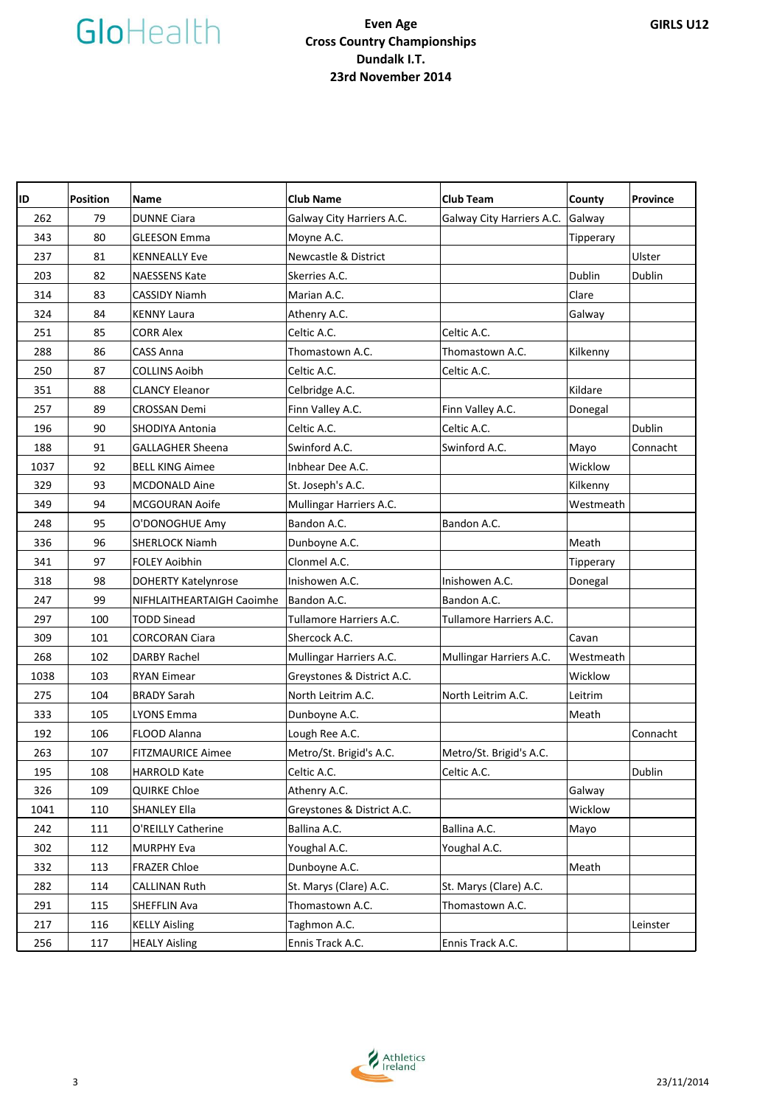| ID   | <b>Position</b> | <b>Name</b>                | <b>Club Name</b>                | <b>Club Team</b>          | County    | Province |
|------|-----------------|----------------------------|---------------------------------|---------------------------|-----------|----------|
| 262  | 79              | <b>DUNNE Ciara</b>         | Galway City Harriers A.C.       | Galway City Harriers A.C. | Galway    |          |
| 343  | 80              | <b>GLEESON Emma</b>        | Moyne A.C.                      |                           | Tipperary |          |
| 237  | 81              | <b>KENNEALLY Eve</b>       | <b>Newcastle &amp; District</b> |                           |           | Ulster   |
| 203  | 82              | <b>NAESSENS Kate</b>       | Skerries A.C.                   |                           | Dublin    | Dublin   |
| 314  | 83              | <b>CASSIDY Niamh</b>       | Marian A.C.                     |                           | Clare     |          |
| 324  | 84              | <b>KENNY Laura</b>         | Athenry A.C.                    |                           | Galway    |          |
| 251  | 85              | <b>CORR Alex</b>           | Celtic A.C.                     | Celtic A.C.               |           |          |
| 288  | 86              | <b>CASS Anna</b>           | Thomastown A.C.                 | Thomastown A.C.           | Kilkenny  |          |
| 250  | 87              | <b>COLLINS Aoibh</b>       | Celtic A.C.                     | Celtic A.C.               |           |          |
| 351  | 88              | <b>CLANCY Eleanor</b>      | Celbridge A.C.                  |                           | Kildare   |          |
| 257  | 89              | <b>CROSSAN Demi</b>        | Finn Valley A.C.                | Finn Valley A.C.          | Donegal   |          |
| 196  | 90              | SHODIYA Antonia            | Celtic A.C.                     | Celtic A.C.               |           | Dublin   |
| 188  | 91              | <b>GALLAGHER Sheena</b>    | Swinford A.C.                   | Swinford A.C.             | Mayo      | Connacht |
| 1037 | 92              | <b>BELL KING Aimee</b>     | Inbhear Dee A.C.                |                           | Wicklow   |          |
| 329  | 93              | <b>MCDONALD Aine</b>       | St. Joseph's A.C.               |                           | Kilkenny  |          |
| 349  | 94              | MCGOURAN Aoife             | Mullingar Harriers A.C.         |                           | Westmeath |          |
| 248  | 95              | O'DONOGHUE Amy             | Bandon A.C.                     | Bandon A.C.               |           |          |
| 336  | 96              | <b>SHERLOCK Niamh</b>      | Dunboyne A.C.                   |                           | Meath     |          |
| 341  | 97              | <b>FOLEY Aoibhin</b>       | Clonmel A.C.                    |                           | Tipperary |          |
| 318  | 98              | <b>DOHERTY Katelynrose</b> | Inishowen A.C.                  | Inishowen A.C.            | Donegal   |          |
| 247  | 99              | NIFHLAITHEARTAIGH Caoimhe  | Bandon A.C.                     | Bandon A.C.               |           |          |
| 297  | 100             | <b>TODD Sinead</b>         | Tullamore Harriers A.C.         | Tullamore Harriers A.C.   |           |          |
| 309  | 101             | <b>CORCORAN Ciara</b>      | Shercock A.C.                   |                           | Cavan     |          |
| 268  | 102             | <b>DARBY Rachel</b>        | Mullingar Harriers A.C.         | Mullingar Harriers A.C.   | Westmeath |          |
| 1038 | 103             | <b>RYAN Eimear</b>         | Greystones & District A.C.      |                           | Wicklow   |          |
| 275  | 104             | <b>BRADY Sarah</b>         | North Leitrim A.C.              | North Leitrim A.C.        | Leitrim   |          |
| 333  | 105             | <b>LYONS Emma</b>          | Dunboyne A.C.                   |                           | Meath     |          |
| 192  | 106             | FLOOD Alanna               | Lough Ree A.C.                  |                           |           | Connacht |
| 263  | 107             | <b>FITZMAURICE Aimee</b>   | Metro/St. Brigid's A.C.         | Metro/St. Brigid's A.C.   |           |          |
| 195  | 108             | <b>HARROLD Kate</b>        | Celtic A.C.                     | Celtic A.C.               |           | Dublin   |
| 326  | 109             | <b>QUIRKE Chloe</b>        | Athenry A.C.                    |                           | Galway    |          |
| 1041 | 110             | <b>SHANLEY Ella</b>        | Greystones & District A.C.      |                           | Wicklow   |          |
| 242  | 111             | O'REILLY Catherine         | Ballina A.C.                    | Ballina A.C.              | Mayo      |          |
| 302  | 112             | <b>MURPHY Eva</b>          | Youghal A.C.                    | Youghal A.C.              |           |          |
| 332  | 113             | <b>FRAZER Chloe</b>        | Dunboyne A.C.                   |                           | Meath     |          |
| 282  | 114             | <b>CALLINAN Ruth</b>       | St. Marys (Clare) A.C.          | St. Marys (Clare) A.C.    |           |          |
| 291  | 115             | SHEFFLIN Ava               | Thomastown A.C.                 | Thomastown A.C.           |           |          |
| 217  | 116             | <b>KELLY Aisling</b>       | Taghmon A.C.                    |                           |           | Leinster |
| 256  | 117             | <b>HEALY Aisling</b>       | Ennis Track A.C.                | Ennis Track A.C.          |           |          |

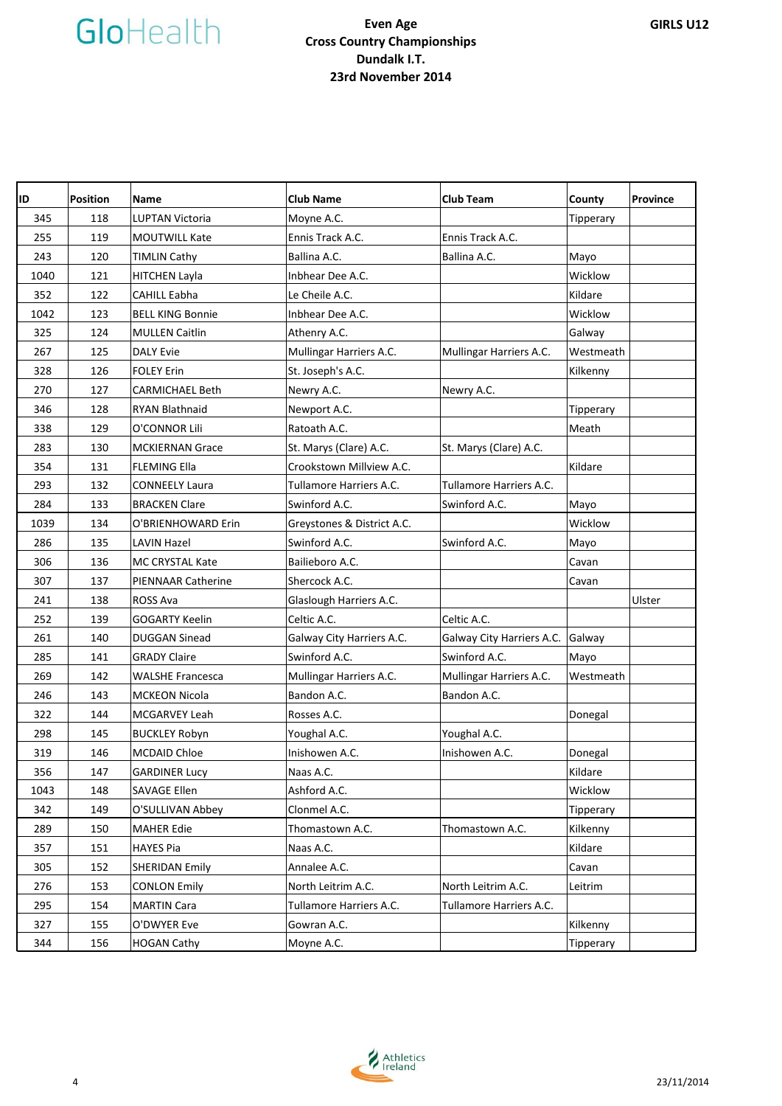| ID   | <b>Position</b> | <b>Name</b>               | <b>Club Name</b>           | <b>Club Team</b>          | County    | Province |
|------|-----------------|---------------------------|----------------------------|---------------------------|-----------|----------|
| 345  | 118             | <b>LUPTAN Victoria</b>    | Moyne A.C.                 |                           | Tipperary |          |
| 255  | 119             | MOUTWILL Kate             | Ennis Track A.C.           | Ennis Track A.C.          |           |          |
| 243  | 120             | <b>TIMLIN Cathy</b>       | Ballina A.C.               | Ballina A.C.              | Mayo      |          |
| 1040 | 121             | <b>HITCHEN Layla</b>      | Inbhear Dee A.C.           |                           | Wicklow   |          |
| 352  | 122             | <b>CAHILL Eabha</b>       | Le Cheile A.C.             |                           | Kildare   |          |
| 1042 | 123             | <b>BELL KING Bonnie</b>   | Inbhear Dee A.C.           |                           | Wicklow   |          |
| 325  | 124             | <b>MULLEN Caitlin</b>     | Athenry A.C.               |                           | Galway    |          |
| 267  | 125             | <b>DALY Evie</b>          | Mullingar Harriers A.C.    | Mullingar Harriers A.C.   | Westmeath |          |
| 328  | 126             | <b>FOLEY Erin</b>         | St. Joseph's A.C.          |                           | Kilkenny  |          |
| 270  | 127             | <b>CARMICHAEL Beth</b>    | Newry A.C.                 | Newry A.C.                |           |          |
| 346  | 128             | <b>RYAN Blathnaid</b>     | Newport A.C.               |                           | Tipperary |          |
| 338  | 129             | O'CONNOR Lili             | Ratoath A.C.               |                           | Meath     |          |
| 283  | 130             | <b>MCKIERNAN Grace</b>    | St. Marys (Clare) A.C.     | St. Marys (Clare) A.C.    |           |          |
| 354  | 131             | <b>FLEMING Ella</b>       | Crookstown Millview A.C.   |                           | Kildare   |          |
| 293  | 132             | <b>CONNEELY Laura</b>     | Tullamore Harriers A.C.    | Tullamore Harriers A.C.   |           |          |
| 284  | 133             | <b>BRACKEN Clare</b>      | Swinford A.C.              | Swinford A.C.             | Mayo      |          |
| 1039 | 134             | O'BRIENHOWARD Erin        | Greystones & District A.C. |                           | Wicklow   |          |
| 286  | 135             | <b>LAVIN Hazel</b>        | Swinford A.C.              | Swinford A.C.             | Mayo      |          |
| 306  | 136             | <b>MC CRYSTAL Kate</b>    | Bailieboro A.C.            |                           | Cavan     |          |
| 307  | 137             | <b>PIENNAAR Catherine</b> | Shercock A.C.              |                           | Cavan     |          |
| 241  | 138             | ROSS Ava                  | Glaslough Harriers A.C.    |                           |           | Ulster   |
| 252  | 139             | <b>GOGARTY Keelin</b>     | Celtic A.C.                | Celtic A.C.               |           |          |
| 261  | 140             | <b>DUGGAN Sinead</b>      | Galway City Harriers A.C.  | Galway City Harriers A.C. | Galway    |          |
| 285  | 141             | <b>GRADY Claire</b>       | Swinford A.C.              | Swinford A.C.             | Mayo      |          |
| 269  | 142             | <b>WALSHE Francesca</b>   | Mullingar Harriers A.C.    | Mullingar Harriers A.C.   | Westmeath |          |
| 246  | 143             | <b>MCKEON Nicola</b>      | Bandon A.C.                | Bandon A.C.               |           |          |
| 322  | 144             | MCGARVEY Leah             | Rosses A.C.                |                           | Donegal   |          |
| 298  | 145             | <b>BUCKLEY Robyn</b>      | Youghal A.C.               | Youghal A.C.              |           |          |
| 319  | 146             | <b>MCDAID Chloe</b>       | Inishowen A.C.             | Inishowen A.C.            | Donegal   |          |
| 356  | 147             | <b>GARDINER Lucy</b>      | Naas A.C.                  |                           | Kildare   |          |
| 1043 | 148             | <b>SAVAGE Ellen</b>       | Ashford A.C.               |                           | Wicklow   |          |
| 342  | 149             | O'SULLIVAN Abbey          | Clonmel A.C.               |                           | Tipperary |          |
| 289  | 150             | <b>MAHER Edie</b>         | Thomastown A.C.            | Thomastown A.C.           | Kilkenny  |          |
| 357  | 151             | <b>HAYES Pia</b>          | Naas A.C.                  |                           | Kildare   |          |
| 305  | 152             | <b>SHERIDAN Emily</b>     | Annalee A.C.               |                           | Cavan     |          |
| 276  | 153             | <b>CONLON Emily</b>       | North Leitrim A.C.         | North Leitrim A.C.        | Leitrim   |          |
| 295  | 154             | <b>MARTIN Cara</b>        | Tullamore Harriers A.C.    | Tullamore Harriers A.C.   |           |          |
| 327  | 155             | O'DWYER Eve               | Gowran A.C.                |                           | Kilkenny  |          |
| 344  | 156             | <b>HOGAN Cathy</b>        | Moyne A.C.                 |                           | Tipperary |          |

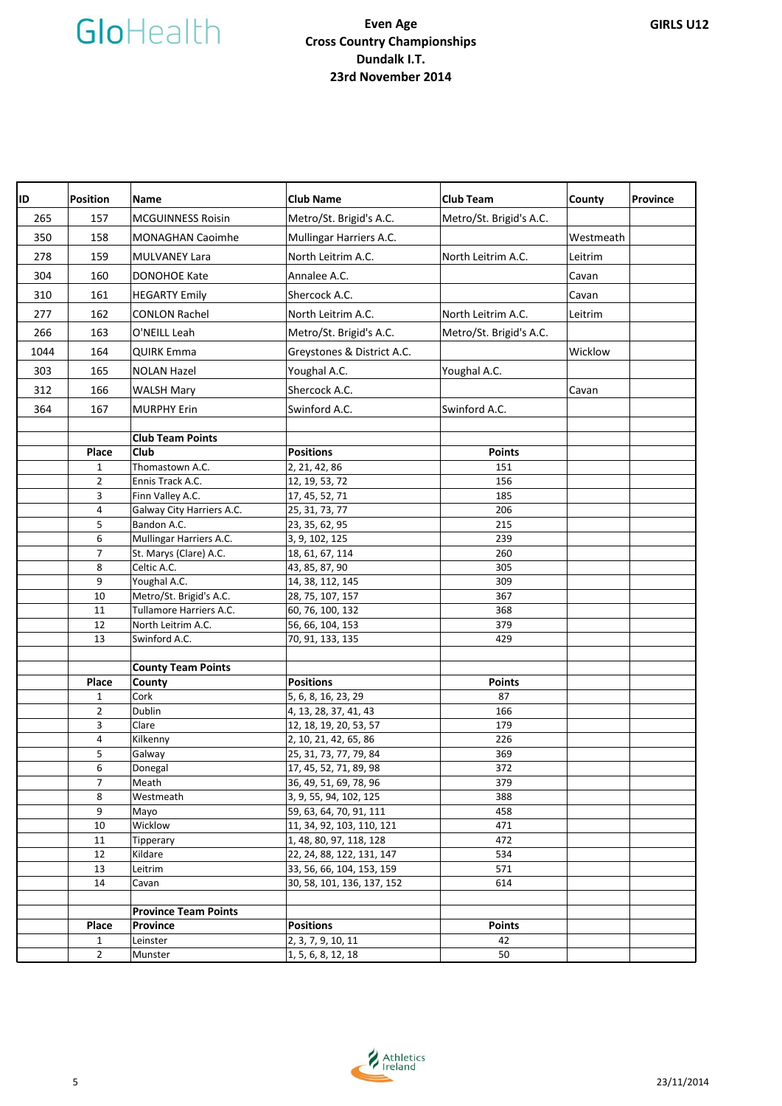

| ID   | <b>Position</b>     | <b>Name</b>                 | <b>Club Name</b>                                | <b>Club Team</b>        | County    | <b>Province</b> |
|------|---------------------|-----------------------------|-------------------------------------------------|-------------------------|-----------|-----------------|
| 265  | 157                 | <b>MCGUINNESS Roisin</b>    | Metro/St. Brigid's A.C.                         | Metro/St. Brigid's A.C. |           |                 |
| 350  | 158                 | <b>MONAGHAN Caoimhe</b>     | Mullingar Harriers A.C.                         |                         | Westmeath |                 |
| 278  | 159                 | <b>MULVANEY Lara</b>        | North Leitrim A.C.                              | North Leitrim A.C.      | Leitrim   |                 |
| 304  | 160                 | <b>DONOHOE Kate</b>         | Annalee A.C.                                    |                         | Cavan     |                 |
| 310  | 161                 | <b>HEGARTY Emily</b>        | Shercock A.C.                                   |                         | Cavan     |                 |
| 277  | 162                 | <b>CONLON Rachel</b>        | North Leitrim A.C.                              | North Leitrim A.C.      | Leitrim   |                 |
|      |                     |                             |                                                 |                         |           |                 |
| 266  | 163                 | O'NEILL Leah                | Metro/St. Brigid's A.C.                         | Metro/St. Brigid's A.C. |           |                 |
| 1044 | 164                 | <b>QUIRK Emma</b>           | Greystones & District A.C.                      |                         | Wicklow   |                 |
| 303  | 165                 | <b>NOLAN Hazel</b>          | Youghal A.C.                                    | Youghal A.C.            |           |                 |
| 312  | 166                 | <b>WALSH Mary</b>           | Shercock A.C.                                   |                         | Cavan     |                 |
| 364  | 167                 | <b>MURPHY Erin</b>          | Swinford A.C.                                   | Swinford A.C.           |           |                 |
|      |                     |                             |                                                 |                         |           |                 |
|      |                     | <b>Club Team Points</b>     |                                                 |                         |           |                 |
|      | Place               | Club                        | <b>Positions</b>                                | <b>Points</b>           |           |                 |
|      | 1                   | Thomastown A.C.             | 2, 21, 42, 86                                   | 151                     |           |                 |
|      | $\overline{2}$      | Ennis Track A.C.            | 12, 19, 53, 72                                  | 156                     |           |                 |
|      | 3                   | Finn Valley A.C.            | 17, 45, 52, 71                                  | 185                     |           |                 |
|      | 4                   | Galway City Harriers A.C.   | 25, 31, 73, 77                                  | 206                     |           |                 |
|      | 5                   | Bandon A.C.                 | 23, 35, 62, 95                                  | 215                     |           |                 |
|      | 6                   | Mullingar Harriers A.C.     | 3, 9, 102, 125                                  | 239                     |           |                 |
|      | $\overline{7}$      | St. Marys (Clare) A.C.      | 18, 61, 67, 114                                 | 260                     |           |                 |
|      | 8                   | Celtic A.C.                 | 43, 85, 87, 90                                  | 305                     |           |                 |
|      | 9                   | Youghal A.C.                | 14, 38, 112, 145                                | 309                     |           |                 |
|      | 10                  | Metro/St. Brigid's A.C.     | 28, 75, 107, 157                                | 367                     |           |                 |
|      | 11                  | Tullamore Harriers A.C.     | 60, 76, 100, 132                                | 368                     |           |                 |
|      | 12                  | North Leitrim A.C.          | 56, 66, 104, 153                                | 379                     |           |                 |
|      | 13                  | Swinford A.C.               | 70, 91, 133, 135                                | 429                     |           |                 |
|      |                     |                             |                                                 |                         |           |                 |
|      |                     | <b>County Team Points</b>   |                                                 |                         |           |                 |
|      | Place               | County<br>Cork              | <b>Positions</b>                                | <b>Points</b>           |           |                 |
|      | 1<br>$\overline{2}$ | Dublin                      | 5, 6, 8, 16, 23, 29                             | 87<br>166               |           |                 |
|      | 3                   | Clare                       | 4, 13, 28, 37, 41, 43<br>12, 18, 19, 20, 53, 57 | 179                     |           |                 |
|      | 4                   | Kilkenny                    | 2, 10, 21, 42, 65, 86                           | 226                     |           |                 |
|      | 5                   | Galway                      | 25, 31, 73, 77, 79, 84                          | 369                     |           |                 |
|      | 6                   | Donegal                     | 17, 45, 52, 71, 89, 98                          | 372                     |           |                 |
|      | $\overline{7}$      | Meath                       | 36, 49, 51, 69, 78, 96                          | 379                     |           |                 |
|      | 8                   | Westmeath                   | 3, 9, 55, 94, 102, 125                          | 388                     |           |                 |
|      | 9                   | Mayo                        | 59, 63, 64, 70, 91, 111                         | 458                     |           |                 |
|      | 10                  | Wicklow                     | 11, 34, 92, 103, 110, 121                       | 471                     |           |                 |
|      | 11                  | Tipperary                   | 1, 48, 80, 97, 118, 128                         | 472                     |           |                 |
|      | 12                  | Kildare                     | 22, 24, 88, 122, 131, 147                       | 534                     |           |                 |
|      | 13                  | Leitrim                     | 33, 56, 66, 104, 153, 159                       | 571                     |           |                 |
|      | 14                  | Cavan                       | 30, 58, 101, 136, 137, 152                      | 614                     |           |                 |
|      |                     |                             |                                                 |                         |           |                 |
|      |                     | <b>Province Team Points</b> |                                                 |                         |           |                 |
|      | Place               | Province                    | <b>Positions</b>                                | <b>Points</b>           |           |                 |
|      | 1                   | Leinster                    | 2, 3, 7, 9, 10, 11                              | 42                      |           |                 |
|      | $\overline{2}$      | Munster                     | 1, 5, 6, 8, 12, 18                              | 50                      |           |                 |